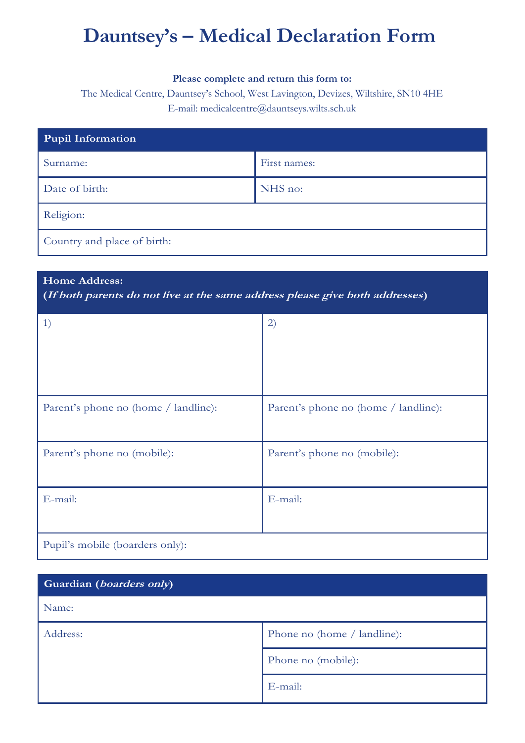# **Dauntsey's – Medical Declaration Form**

#### **Please complete and return this form to:**

The Medical Centre, Dauntsey's School, West Lavington, Devizes, Wiltshire, SN10 4HE E-mail: medicalcentre@dauntseys.wilts.sch.uk

| <b>Pupil Information</b>    |              |  |
|-----------------------------|--------------|--|
| Surname:                    | First names: |  |
| Date of birth:              | NHS no:      |  |
| Religion:                   |              |  |
| Country and place of birth: |              |  |

## **Home Address:**

**(If both parents do not live at the same address please give both addresses)**

| $\left( \begin{matrix} 1 \end{matrix} \right)$ | 2)                                   |
|------------------------------------------------|--------------------------------------|
| Parent's phone no (home / landline):           | Parent's phone no (home / landline): |
| Parent's phone no (mobile):                    | Parent's phone no (mobile):          |
| E-mail:                                        | E-mail:                              |
| Pupil's mobile (boarders only):                |                                      |

| Guardian (boarders only) |                             |
|--------------------------|-----------------------------|
| Name:                    |                             |
| Address:                 | Phone no (home / landline): |
|                          | Phone no (mobile):          |
|                          | E-mail:                     |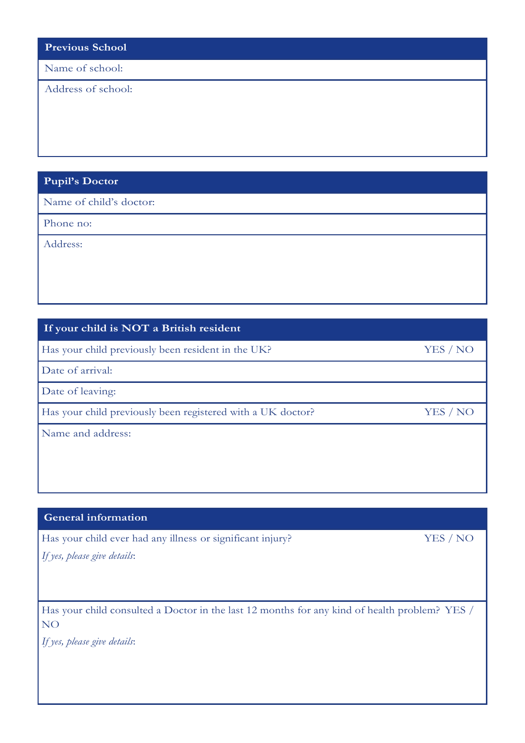| <b>Previous School</b> |  |
|------------------------|--|
|------------------------|--|

Name of school:

Address of school:

# **Pupil's Doctor**

Name of child's doctor:

Phone no:

Address:

# **If your child is NOT a British resident**

Has your child previously been resident in the UK? YES / NO

Date of arrival:

Date of leaving:

Has your child previously been registered with a UK doctor? YES / NO

Name and address:

## **General information**

Has your child ever had any illness or significant injury? YES / NO

*If yes, please give details*:

Has your child consulted a Doctor in the last 12 months for any kind of health problem? YES / NO

*If yes, please give details*: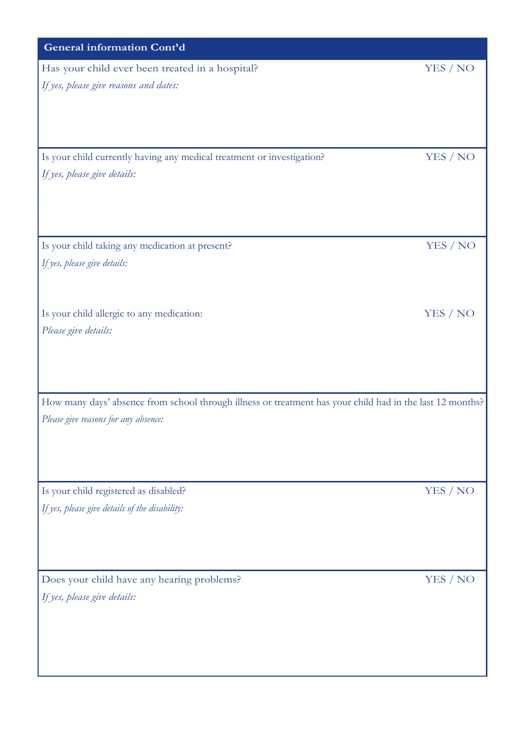| <b>General information Cont'd</b>                                                                         |          |
|-----------------------------------------------------------------------------------------------------------|----------|
| Has your child ever been treated in a hospital?                                                           | YES / NO |
| If yes, please give reasons and dates:                                                                    |          |
|                                                                                                           |          |
|                                                                                                           |          |
|                                                                                                           |          |
| Is your child currently having any medical treatment or investigation?                                    | YES / NO |
| If yes, please give details:                                                                              |          |
|                                                                                                           |          |
|                                                                                                           |          |
| Is your child taking any medication at present?                                                           | YES / NO |
| If yes, please give details:                                                                              |          |
|                                                                                                           |          |
|                                                                                                           |          |
| Is your child allergic to any medication:                                                                 | YES / NO |
| Please give details:                                                                                      |          |
|                                                                                                           |          |
|                                                                                                           |          |
| How many days' absence from school through illness or treatment has your child had in the last 12 months? |          |
| Please give reasons for any absence:                                                                      |          |
|                                                                                                           |          |
|                                                                                                           |          |
|                                                                                                           |          |
| Is your child registered as disabled?                                                                     | YES / NO |
| If yes, please give details of the disability:                                                            |          |
|                                                                                                           |          |
|                                                                                                           |          |
| Does your child have any hearing problems?                                                                | YES / NO |
| If yes, please give details:                                                                              |          |
|                                                                                                           |          |
|                                                                                                           |          |
|                                                                                                           |          |
|                                                                                                           |          |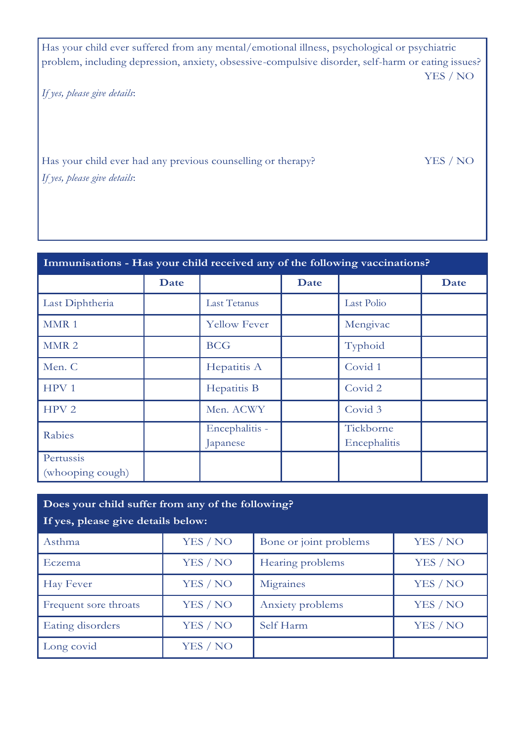Has your child ever suffered from any mental/emotional illness, psychological or psychiatric problem, including depression, anxiety, obsessive-compulsive disorder, self-harm or eating issues? YES / NO

*If yes, please give details*:

Has your child ever had any previous counselling or therapy? YES / NO *If yes, please give details*:

| Immunisations - Has your child received any of the following vaccinations? |      |                            |      |                           |      |
|----------------------------------------------------------------------------|------|----------------------------|------|---------------------------|------|
|                                                                            | Date |                            | Date |                           | Date |
| Last Diphtheria                                                            |      | Last Tetanus               |      | Last Polio                |      |
| MMR <sub>1</sub>                                                           |      | <b>Yellow Fever</b>        |      | Mengivac                  |      |
| MMR <sub>2</sub>                                                           |      | <b>BCG</b>                 |      | Typhoid                   |      |
| Men. C                                                                     |      | Hepatitis A                |      | Covid 1                   |      |
| HPV <sub>1</sub>                                                           |      | Hepatitis B                |      | Covid 2                   |      |
| HPV <sub>2</sub>                                                           |      | Men. ACWY                  |      | Covid 3                   |      |
| Rabies                                                                     |      | Encephalitis -<br>Japanese |      | Tickborne<br>Encephalitis |      |
| Pertussis<br>(whooping cough)                                              |      |                            |      |                           |      |

| Does your child suffer from any of the following?<br>If yes, please give details below: |          |                        |          |
|-----------------------------------------------------------------------------------------|----------|------------------------|----------|
| Asthma                                                                                  | YES / NO | Bone or joint problems | YES / NO |
| <b>Eczema</b>                                                                           | YES / NO | Hearing problems       | YES / NO |
| Hay Fever                                                                               | YES / NO | Migraines              | YES / NO |
| Frequent sore throats                                                                   | YES / NO | Anxiety problems       | YES / NO |
| Eating disorders                                                                        | YES / NO | Self Harm              | YES / NO |
| Long covid                                                                              | YES / NO |                        |          |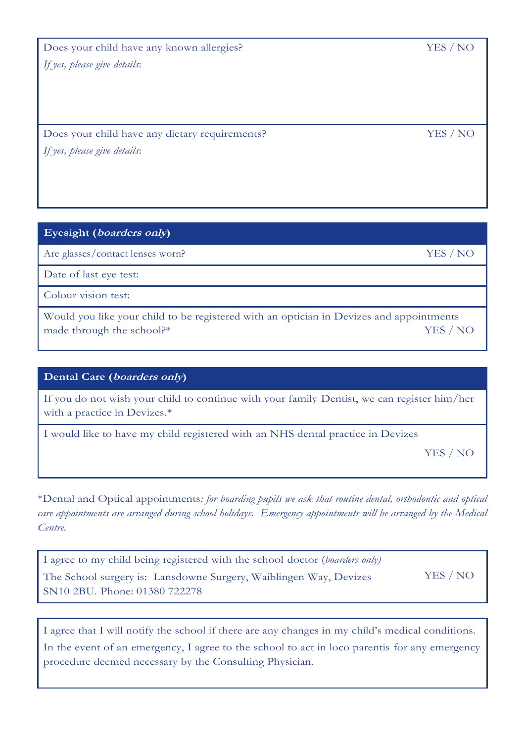Does your child have any known allergies? YES / NO *If yes, please give details*:

Does your child have any dietary requirements? YES / NO *If yes, please give details*:

**Eyesight (boarders only)**

Are glasses/contact lenses worn? YES / NO

Date of last eye test:

Colour vision test:

Would you like your child to be registered with an optician in Devizes and appointments made through the school?\* YES / NO

### **Dental Care (boarders only)**

If you do not wish your child to continue with your family Dentist, we can register him/her with a practice in Devizes.\*

I would like to have my child registered with an NHS dental practice in Devizes

YES / NO

\*Dental and Optical appointments*: for boarding pupils we ask that routine dental, orthodontic and optical care appointments are arranged during school holidays. Emergency appointments will be arranged by the Medical Centre.*

| I agree to my child being registered with the school doctor (boarders only) |          |
|-----------------------------------------------------------------------------|----------|
| The School surgery is: Lansdowne Surgery, Waiblingen Way, Devizes           | YES / NO |
| SN <sub>10</sub> 2BU. Phone: 01380 722278                                   |          |

I agree that I will notify the school if there are any changes in my child's medical conditions. In the event of an emergency, I agree to the school to act in loco parentis for any emergency procedure deemed necessary by the Consulting Physician.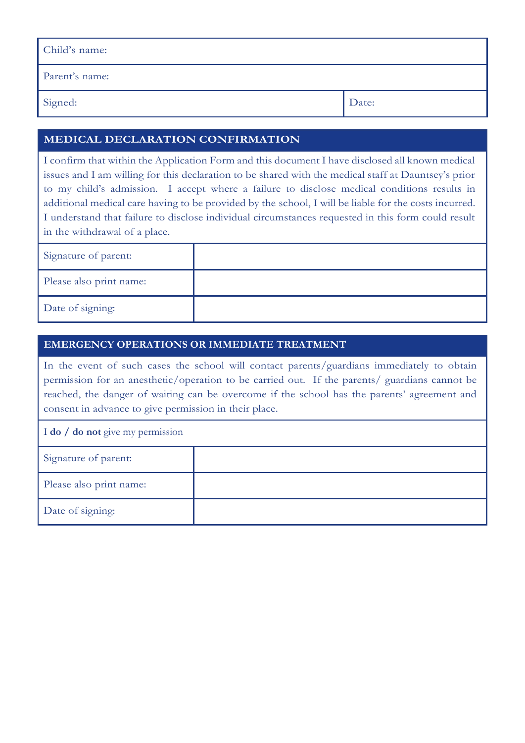| Child's name:  |       |
|----------------|-------|
| Parent's name: |       |
| Signed:        | Date: |

# **MEDICAL DECLARATION CONFIRMATION**

I confirm that within the Application Form and this document I have disclosed all known medical issues and I am willing for this declaration to be shared with the medical staff at Dauntsey's prior to my child's admission. I accept where a failure to disclose medical conditions results in additional medical care having to be provided by the school, I will be liable for the costs incurred. I understand that failure to disclose individual circumstances requested in this form could result in the withdrawal of a place.

| Signature of parent:    |  |
|-------------------------|--|
| Please also print name: |  |
| Date of signing:        |  |

#### **EMERGENCY OPERATIONS OR IMMEDIATE TREATMENT**

In the event of such cases the school will contact parents/guardians immediately to obtain permission for an anesthetic/operation to be carried out. If the parents/ guardians cannot be reached, the danger of waiting can be overcome if the school has the parents' agreement and consent in advance to give permission in their place.

| I do / do not give my permission |  |
|----------------------------------|--|
| Signature of parent:             |  |
| Please also print name:          |  |
| Date of signing:                 |  |